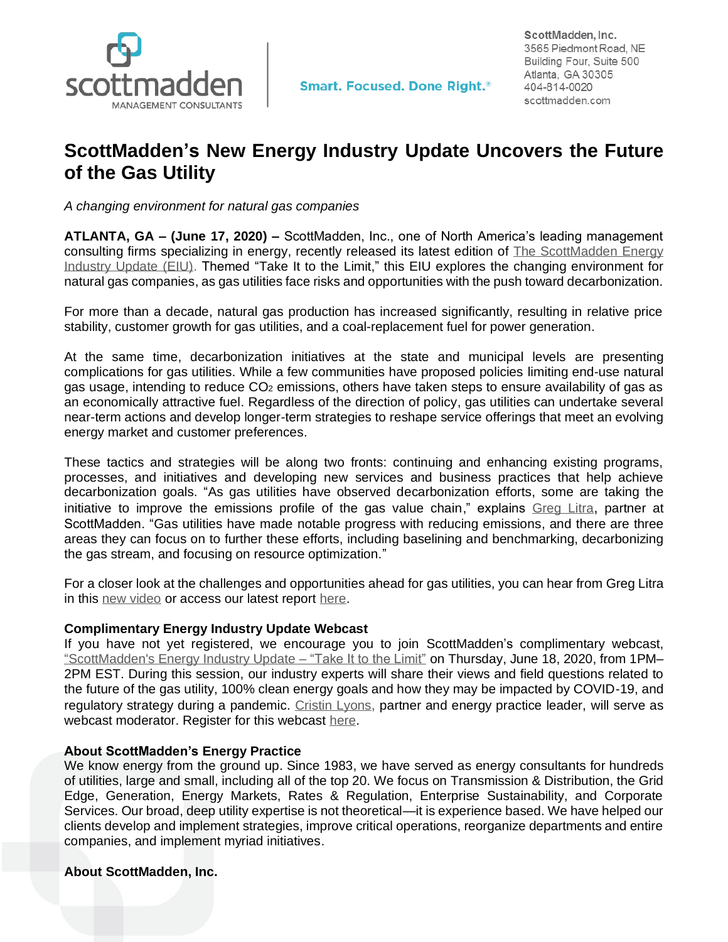

ScottMadden. Inc. 3565 Piedmont Road, NE Building Four, Suite 500 Atlanta, GA 30305 404-814-0020 scottmadden.com

## **ScottMadden's New Energy Industry Update Uncovers the Future of the Gas Utility**

*A changing environment for natural gas companies* 

**ATLANTA, GA – (June 17, 2020) –** ScottMadden, Inc., one of North America's leading management consulting firms specializing in energy, recently released its latest edition of [The ScottMadden Energy](https://www.scottmadden.com/energy-industry-update/)  [Industry Update \(EIU\).](https://www.scottmadden.com/energy-industry-update/) Themed "Take It to the Limit," this EIU explores the changing environment for natural gas companies, as gas utilities face risks and opportunities with the push toward decarbonization.

For more than a decade, natural gas production has increased significantly, resulting in relative price stability, customer growth for gas utilities, and a coal-replacement fuel for power generation.

At the same time, decarbonization initiatives at the state and municipal levels are presenting complications for gas utilities. While a few communities have proposed policies limiting end-use natural gas usage, intending to reduce CO<sup>2</sup> emissions, others have taken steps to ensure availability of gas as an economically attractive fuel. Regardless of the direction of policy, gas utilities can undertake several near-term actions and develop longer-term strategies to reshape service offerings that meet an evolving energy market and customer preferences.

These tactics and strategies will be along two fronts: continuing and enhancing existing programs, processes, and initiatives and developing new services and business practices that help achieve decarbonization goals. "As gas utilities have observed decarbonization efforts, some are taking the initiative to improve the emissions profile of the gas value chain," explains [Greg Litra](https://www.scottmadden.com/person/greg-litra/), partner at ScottMadden. "Gas utilities have made notable progress with reducing emissions, and there are three areas they can focus on to further these efforts, including baselining and benchmarking, decarbonizing the gas stream, and focusing on resource optimization."

For a closer look at the challenges and opportunities ahead for gas utilities, you can hear from Greg Litra in this [new video](https://www.youtube.com/watch?v=rswqmzm7lXQ&t=2s) or access our latest report [here.](https://www.scottmadden.com/energy-industry-update/)

## **Complimentary Energy Industry Update Webcast**

If you have not yet registered, we encourage you to join ScottMadden's complimentary webcast, ["ScottMadden's Energy Industry Update –](https://register.gotowebinar.com/register/7777168307038450958?source=smreachout) "Take It to the Limit" on Thursday, June 18, 2020, from 1PM– 2PM EST. During this session, our industry experts will share their views and field questions related to the future of the gas utility, 100% clean energy goals and how they may be impacted by COVID-19, and regulatory strategy during a pandemic. [Cristin Lyons](https://www.scottmadden.com/person/cristin-lyons/), partner and energy practice leader, will serve as webcast moderator. Register for this webcast [here.](https://register.gotowebinar.com/register/7777168307038450958?source=smreachout)

## **About ScottMadden's Energy Practice**

We know energy from the ground up. Since 1983, we have served as energy consultants for hundreds of utilities, large and small, including all of the top 20. We focus on Transmission & Distribution, the Grid Edge, Generation, Energy Markets, Rates & Regulation, Enterprise Sustainability, and Corporate Services. Our broad, deep utility expertise is not theoretical—it is experience based. We have helped our clients develop and implement strategies, improve critical operations, reorganize departments and entire companies, and implement myriad initiatives.

## **About ScottMadden, Inc.**